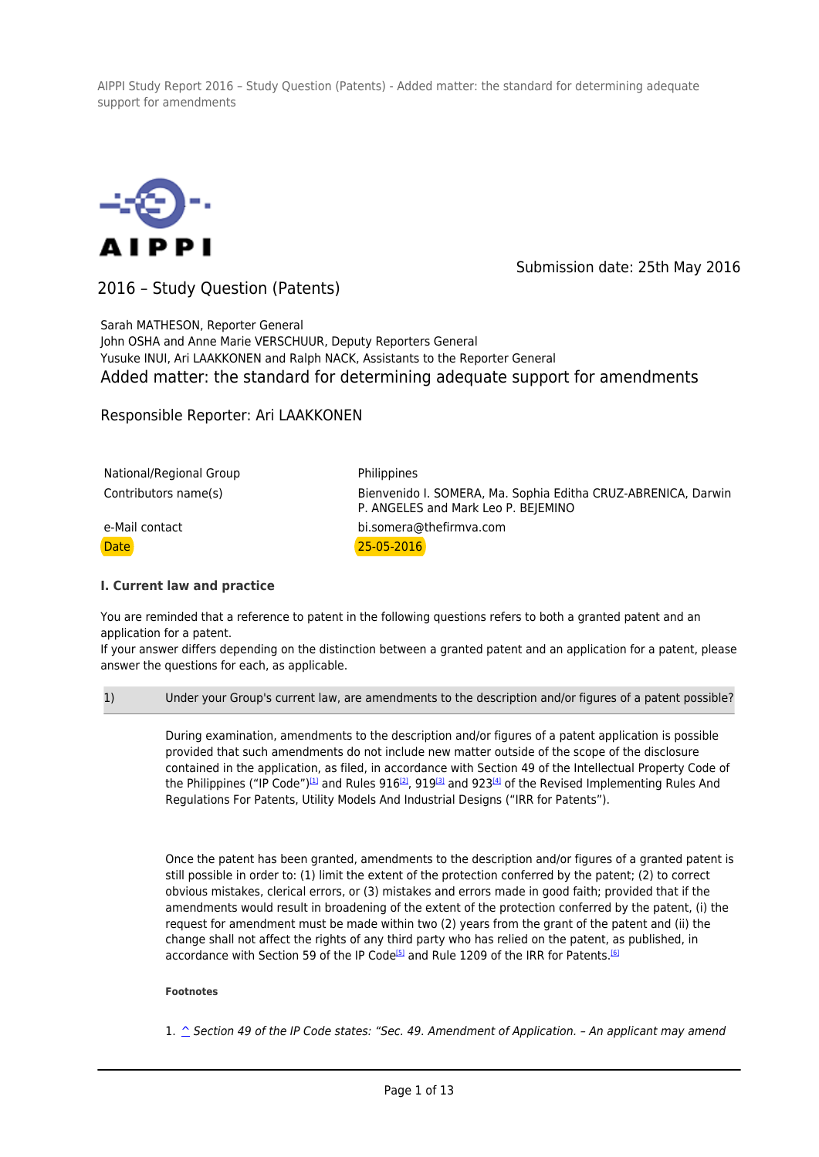

Submission date: 25th May 2016

2016 – Study Question (Patents)

Sarah MATHESON, Reporter General John OSHA and Anne Marie VERSCHUUR, Deputy Reporters General Yusuke INUI, Ari LAAKKONEN and Ralph NACK, Assistants to the Reporter General Added matter: the standard for determining adequate support for amendments

Responsible Reporter: Ari LAAKKONEN

| National/Regional Group | Philippines                                                                                          |  |
|-------------------------|------------------------------------------------------------------------------------------------------|--|
| Contributors name(s)    | Bienvenido I. SOMERA, Ma. Sophia Editha CRUZ-ABRENICA, Darwin<br>P. ANGELES and Mark Leo P. BEJEMINO |  |
| e-Mail contact          | bi.somera@thefirmva.com                                                                              |  |
| <b>Date</b>             | $25 - 05 - 2016$                                                                                     |  |

# **I. Current law and practice**

You are reminded that a reference to patent in the following questions refers to both a granted patent and an application for a patent.

If your answer differs depending on the distinction between a granted patent and an application for a patent, please answer the questions for each, as applicable.

### 1) Under your Group's current law, are amendments to the description and/or figures of a patent possible?

During examination, amendments to the description and/or figures of a patent application is possible provided that such amendments do not include new matter outside of the scope of the disclosure contained in the application, as filed, in accordance with Section 49 of the Intellectual Property Code of the Philippines ("IP Code")<sup>[1]</sup> and Rules 916<sup>[2]</sup>, 919<sup>[3]</sup> and 923<sup>[4]</sup> of the Revised Implementing Rules And Regulations For Patents, Utility Models And Industrial Designs ("IRR for Patents").

Once the patent has been granted, amendments to the description and/or figures of a granted patent is still possible in order to: (1) limit the extent of the protection conferred by the patent; (2) to correct obvious mistakes, clerical errors, or (3) mistakes and errors made in good faith; provided that if the amendments would result in broadening of the extent of the protection conferred by the patent, (i) the request for amendment must be made within two (2) years from the grant of the patent and (ii) the change shall not affect the rights of any third party who has relied on the patent, as published, in accordance with Section 59 of the IP Code<sup>[5]</sup> and Rule 1209 of the IRR for Patents.<sup>[6]</sup>

#### **Footnotes**

1. ^ Section 49 of the IP Code states: "Sec. 49. Amendment of Application. - An applicant may amend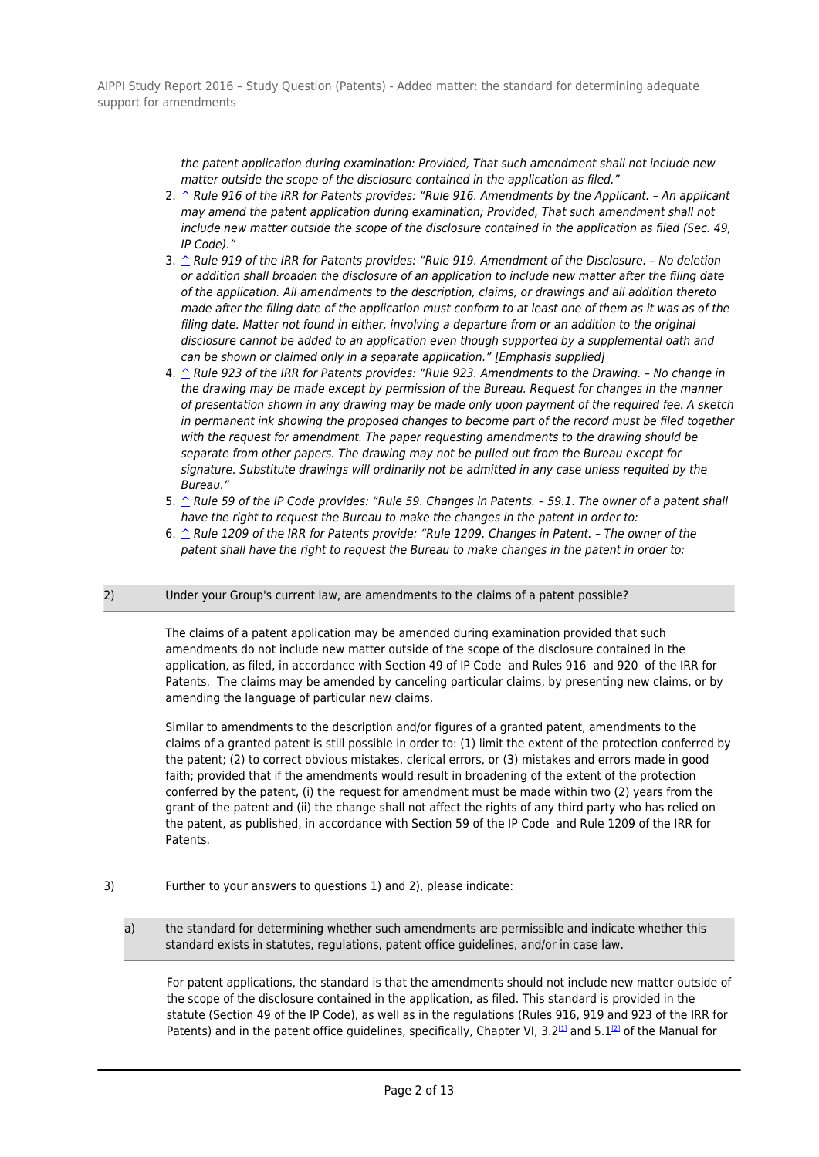> the patent application during examination: Provided, That such amendment shall not include new matter outside the scope of the disclosure contained in the application as filed."

- 2.  $\hat{\ }$  Rule 916 of the IRR for Patents provides: "Rule 916. Amendments by the Applicant. An applicant may amend the patent application during examination; Provided, That such amendment shall not include new matter outside the scope of the disclosure contained in the application as filed (Sec. 49, IP Code)."
- 3.  $\hat{C}$  Rule 919 of the IRR for Patents provides: "Rule 919. Amendment of the Disclosure. No deletion or addition shall broaden the disclosure of an application to include new matter after the filing date of the application. All amendments to the description, claims, or drawings and all addition thereto made after the filing date of the application must conform to at least one of them as it was as of the filing date. Matter not found in either, involving a departure from or an addition to the original disclosure cannot be added to an application even though supported by a supplemental oath and can be shown or claimed only in a separate application." [Emphasis supplied]
- 4. ^ Rule 923 of the IRR for Patents provides: "Rule 923. Amendments to the Drawing. No change in the drawing may be made except by permission of the Bureau. Request for changes in the manner of presentation shown in any drawing may be made only upon payment of the required fee. A sketch in permanent ink showing the proposed changes to become part of the record must be filed together with the request for amendment. The paper requesting amendments to the drawing should be separate from other papers. The drawing may not be pulled out from the Bureau except for signature. Substitute drawings will ordinarily not be admitted in any case unless requited by the Bureau."
- 5. ^ Rule 59 of the IP Code provides: "Rule 59. Changes in Patents. 59.1. The owner of a patent shall have the right to request the Bureau to make the changes in the patent in order to:
- 6.  $\hat{C}$  Rule 1209 of the IRR for Patents provide: "Rule 1209. Changes in Patent. The owner of the patent shall have the right to request the Bureau to make changes in the patent in order to:

# 2) Under your Group's current law, are amendments to the claims of a patent possible?

The claims of a patent application may be amended during examination provided that such amendments do not include new matter outside of the scope of the disclosure contained in the application, as filed, in accordance with Section 49 of IP Code and Rules 916 and 920 of the IRR for Patents. The claims may be amended by canceling particular claims, by presenting new claims, or by amending the language of particular new claims.

Similar to amendments to the description and/or figures of a granted patent, amendments to the claims of a granted patent is still possible in order to: (1) limit the extent of the protection conferred by the patent; (2) to correct obvious mistakes, clerical errors, or (3) mistakes and errors made in good faith; provided that if the amendments would result in broadening of the extent of the protection conferred by the patent, (i) the request for amendment must be made within two (2) years from the grant of the patent and (ii) the change shall not affect the rights of any third party who has relied on the patent, as published, in accordance with Section 59 of the IP Code and Rule 1209 of the IRR for Patents.

- 3) Further to your answers to questions 1) and 2), please indicate:
	- a) the standard for determining whether such amendments are permissible and indicate whether this standard exists in statutes, regulations, patent office guidelines, and/or in case law.

For patent applications, the standard is that the amendments should not include new matter outside of the scope of the disclosure contained in the application, as filed. This standard is provided in the statute (Section 49 of the IP Code), as well as in the regulations (Rules 916, 919 and 923 of the IRR for Patents) and in the patent office quidelines, specifically, Chapter VI, 3.2<sup>[1]</sup> and 5.1<sup>[2]</sup> of the Manual for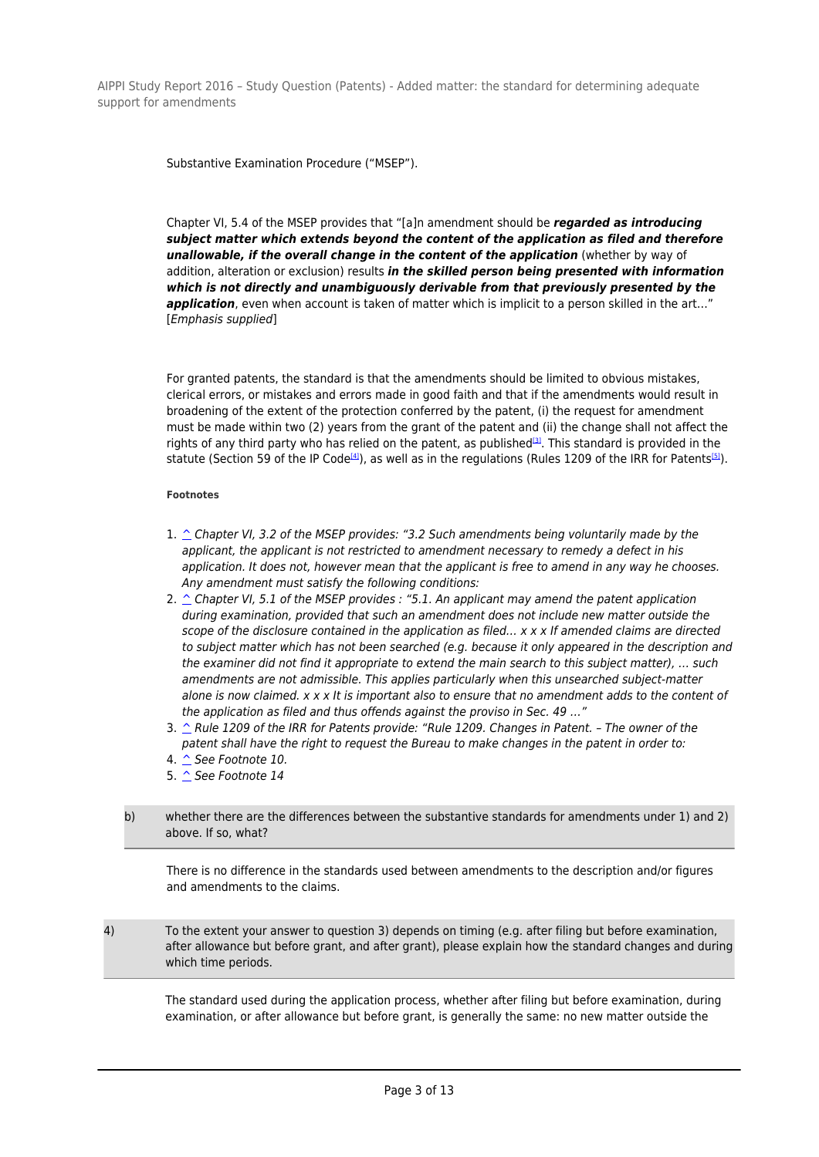Substantive Examination Procedure ("MSEP").

Chapter VI, 5.4 of the MSEP provides that "[a]n amendment should be *regarded as introducing subject matter which extends beyond the content of the application as filed and therefore unallowable, if the overall change in the content of the application* (whether by way of addition, alteration or exclusion) results *in the skilled person being presented with information which is not directly and unambiguously derivable from that previously presented by the* **application**, even when account is taken of matter which is implicit to a person skilled in the art..." [Emphasis supplied]

For granted patents, the standard is that the amendments should be limited to obvious mistakes, clerical errors, or mistakes and errors made in good faith and that if the amendments would result in broadening of the extent of the protection conferred by the patent, (i) the request for amendment must be made within two (2) years from the grant of the patent and (ii) the change shall not affect the rights of any third party who has relied on the patent, as published<sup>[3]</sup>. This standard is provided in the statute (Section 59 of the IP Code<sup>[4]</sup>), as well as in the regulations (Rules 1209 of the IRR for Patents<sup>[5]</sup>).

### **Footnotes**

- 1.  $\hat{\ }$  Chapter VI, 3.2 of the MSEP provides: "3.2 Such amendments being voluntarily made by the applicant, the applicant is not restricted to amendment necessary to remedy a defect in his application. It does not, however mean that the applicant is free to amend in any way he chooses. Any amendment must satisfy the following conditions:
- 2.  $\hat{\ }$  Chapter VI, 5.1 of the MSEP provides : "5.1. An applicant may amend the patent application during examination, provided that such an amendment does not include new matter outside the scope of the disclosure contained in the application as filed... x x x If amended claims are directed to subject matter which has not been searched (e.g. because it only appeared in the description and the examiner did not find it appropriate to extend the main search to this subject matter), … such amendments are not admissible. This applies particularly when this unsearched subject-matter alone is now claimed.  $x \times x$  It is important also to ensure that no amendment adds to the content of the application as filed and thus offends against the proviso in Sec. 49 …"
- 3.  $\hat{\ }$  Rule 1209 of the IRR for Patents provide: "Rule 1209. Changes in Patent. The owner of the patent shall have the right to request the Bureau to make changes in the patent in order to:
- 4.  $\hat{\triangle}$  See Footnote 10.
- 5. ^ See Footnote 14

# b) whether there are the differences between the substantive standards for amendments under 1) and 2) above. If so, what?

There is no difference in the standards used between amendments to the description and/or figures and amendments to the claims.

4) To the extent your answer to question 3) depends on timing (e.g. after filing but before examination, after allowance but before grant, and after grant), please explain how the standard changes and during which time periods.

The standard used during the application process, whether after filing but before examination, during examination, or after allowance but before grant, is generally the same: no new matter outside the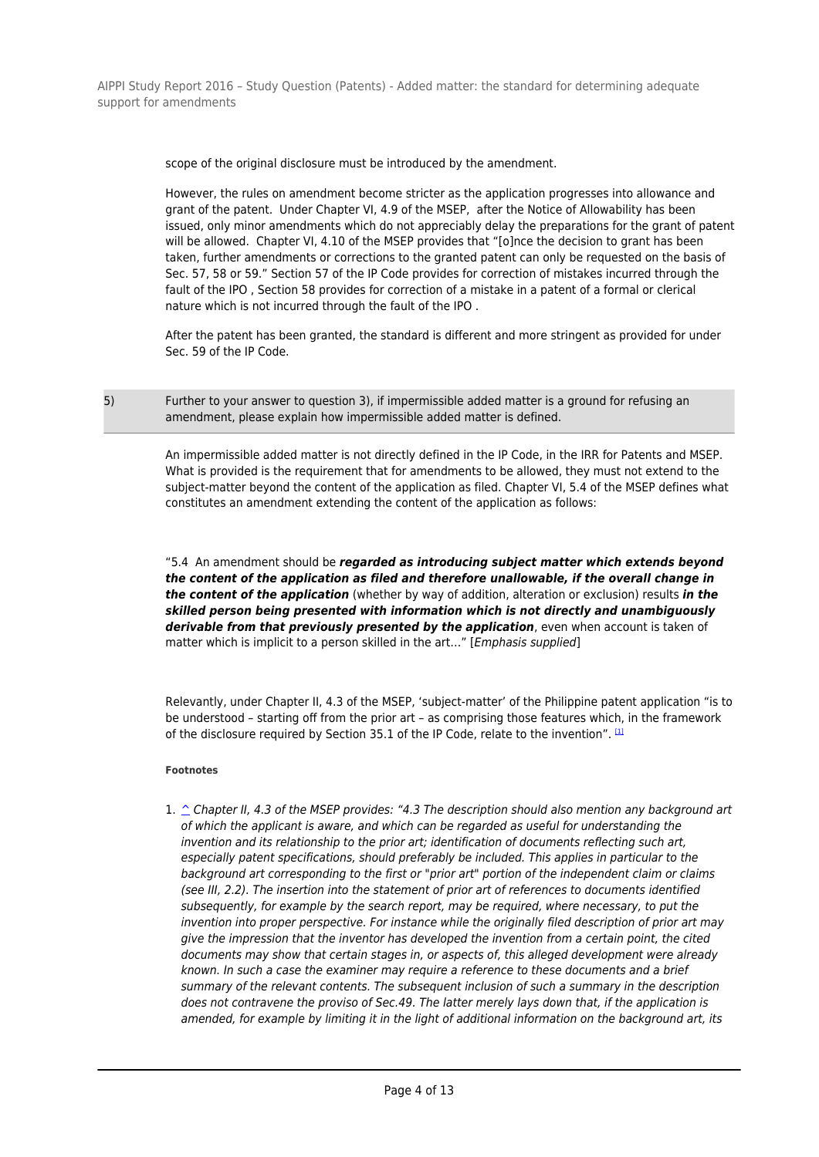scope of the original disclosure must be introduced by the amendment.

However, the rules on amendment become stricter as the application progresses into allowance and grant of the patent. Under Chapter VI, 4.9 of the MSEP, after the Notice of Allowability has been issued, only minor amendments which do not appreciably delay the preparations for the grant of patent will be allowed. Chapter VI, 4.10 of the MSEP provides that "[o]nce the decision to grant has been taken, further amendments or corrections to the granted patent can only be requested on the basis of Sec. 57, 58 or 59." Section 57 of the IP Code provides for correction of mistakes incurred through the fault of the IPO , Section 58 provides for correction of a mistake in a patent of a formal or clerical nature which is not incurred through the fault of the IPO .

After the patent has been granted, the standard is different and more stringent as provided for under Sec. 59 of the IP Code.

5) Further to your answer to question 3), if impermissible added matter is a ground for refusing an amendment, please explain how impermissible added matter is defined.

> An impermissible added matter is not directly defined in the IP Code, in the IRR for Patents and MSEP. What is provided is the requirement that for amendments to be allowed, they must not extend to the subject-matter beyond the content of the application as filed. Chapter VI, 5.4 of the MSEP defines what constitutes an amendment extending the content of the application as follows:

> "5.4 An amendment should be *regarded as introducing subject matter which extends beyond the content of the application as filed and therefore unallowable, if the overall change in the content of the application* (whether by way of addition, alteration or exclusion) results *in the skilled person being presented with information which is not directly and unambiguously* derivable from that previously presented by the application, even when account is taken of matter which is implicit to a person skilled in the art..." [*Emphasis supplied*]

Relevantly, under Chapter II, 4.3 of the MSEP, 'subject-matter' of the Philippine patent application "is to be understood – starting off from the prior art – as comprising those features which, in the framework of the disclosure required by Section 35.1 of the IP Code, relate to the invention".  $[1]$ 

#### **Footnotes**

1. ^ Chapter II, 4.3 of the MSEP provides: "4.3 The description should also mention any background art of which the applicant is aware, and which can be regarded as useful for understanding the invention and its relationship to the prior art; identification of documents reflecting such art, especially patent specifications, should preferably be included. This applies in particular to the background art corresponding to the first or "prior art" portion of the independent claim or claims (see III, 2.2). The insertion into the statement of prior art of references to documents identified subsequently, for example by the search report, may be required, where necessary, to put the invention into proper perspective. For instance while the originally filed description of prior art may give the impression that the inventor has developed the invention from a certain point, the cited documents may show that certain stages in, or aspects of, this alleged development were already known. In such a case the examiner may require a reference to these documents and a brief summary of the relevant contents. The subsequent inclusion of such a summary in the description does not contravene the proviso of Sec.49. The latter merely lays down that, if the application is amended, for example by limiting it in the light of additional information on the background art, its

Page 4 of 13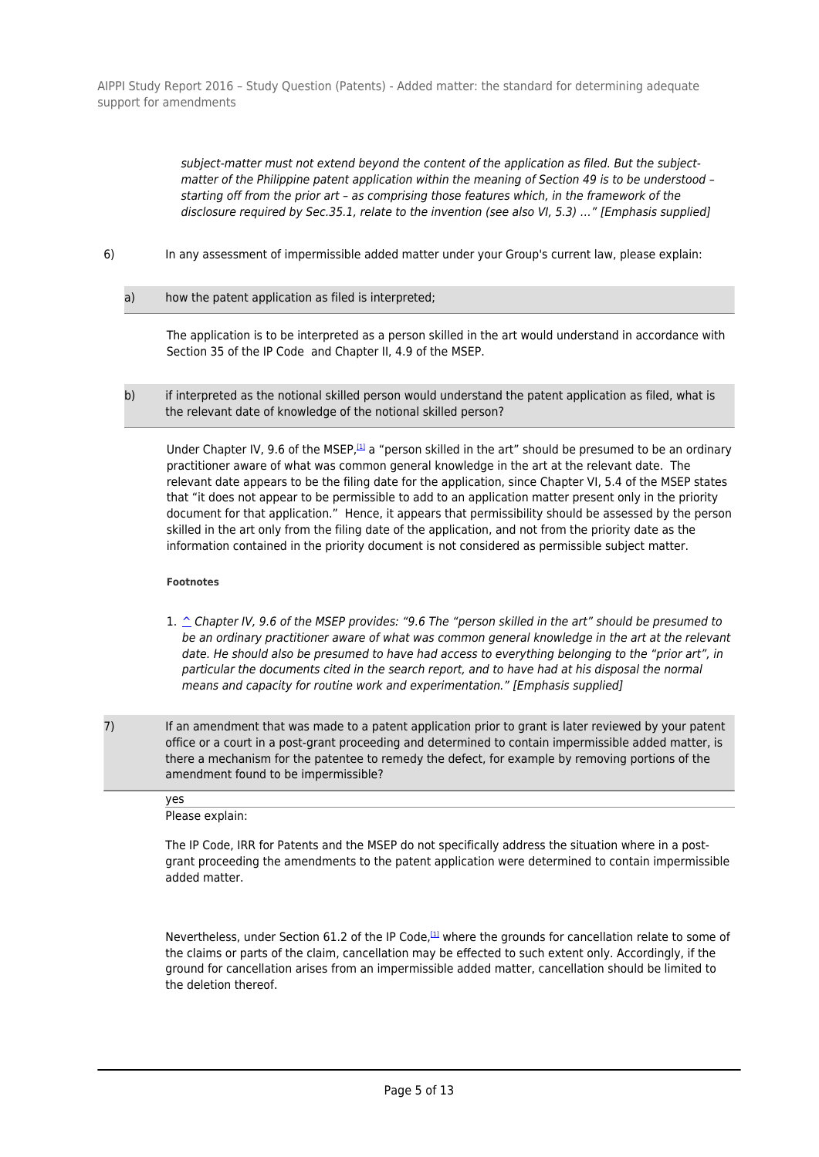> subject-matter must not extend beyond the content of the application as filed. But the subjectmatter of the Philippine patent application within the meaning of Section 49 is to be understood – starting off from the prior art – as comprising those features which, in the framework of the disclosure required by Sec.35.1, relate to the invention (see also VI, 5.3) …" [Emphasis supplied]

- 6) In any assessment of impermissible added matter under your Group's current law, please explain:
	- a) how the patent application as filed is interpreted;

The application is to be interpreted as a person skilled in the art would understand in accordance with Section 35 of the IP Code and Chapter II, 4.9 of the MSEP.

b) if interpreted as the notional skilled person would understand the patent application as filed, what is the relevant date of knowledge of the notional skilled person?

Under Chapter IV, 9.6 of the MSEP,<sup>[1]</sup> a "person skilled in the art" should be presumed to be an ordinary practitioner aware of what was common general knowledge in the art at the relevant date. The relevant date appears to be the filing date for the application, since Chapter VI, 5.4 of the MSEP states that "it does not appear to be permissible to add to an application matter present only in the priority document for that application." Hence, it appears that permissibility should be assessed by the person skilled in the art only from the filing date of the application, and not from the priority date as the information contained in the priority document is not considered as permissible subject matter.

#### **Footnotes**

- 1. ^ Chapter IV, 9.6 of the MSEP provides: "9.6 The "person skilled in the art" should be presumed to be an ordinary practitioner aware of what was common general knowledge in the art at the relevant date. He should also be presumed to have had access to everything belonging to the "prior art", in particular the documents cited in the search report, and to have had at his disposal the normal means and capacity for routine work and experimentation." [Emphasis supplied]
- 7) If an amendment that was made to a patent application prior to grant is later reviewed by your patent office or a court in a post-grant proceeding and determined to contain impermissible added matter, is there a mechanism for the patentee to remedy the defect, for example by removing portions of the amendment found to be impermissible?

| yes             |  |  |
|-----------------|--|--|
| Please explain: |  |  |

The IP Code, IRR for Patents and the MSEP do not specifically address the situation where in a postgrant proceeding the amendments to the patent application were determined to contain impermissible added matter.

Nevertheless, under Section 61.2 of the IP Code, $\mu$  where the grounds for cancellation relate to some of the claims or parts of the claim, cancellation may be effected to such extent only. Accordingly, if the ground for cancellation arises from an impermissible added matter, cancellation should be limited to the deletion thereof.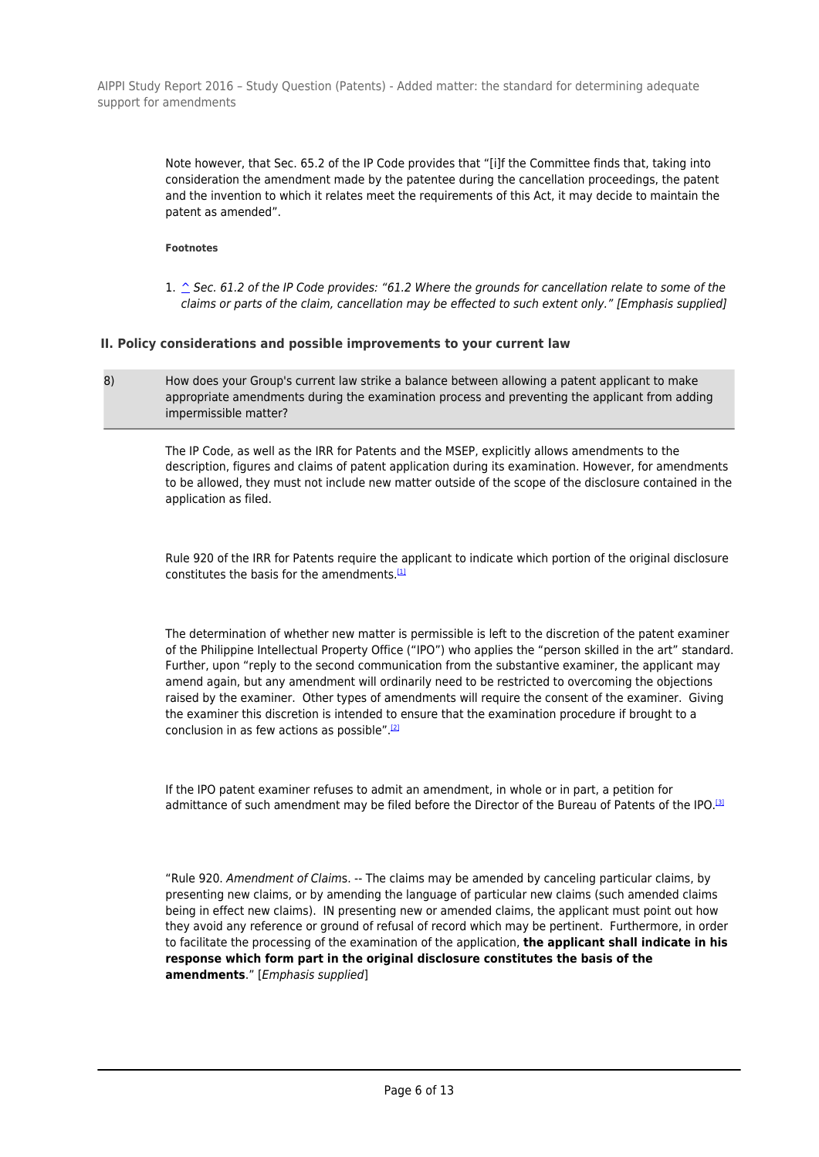> Note however, that Sec. 65.2 of the IP Code provides that "[i]f the Committee finds that, taking into consideration the amendment made by the patentee during the cancellation proceedings, the patent and the invention to which it relates meet the requirements of this Act, it may decide to maintain the patent as amended".

# **Footnotes**

1.  $\hat{\triangle}$  Sec. 61.2 of the IP Code provides: "61.2 Where the grounds for cancellation relate to some of the claims or parts of the claim, cancellation may be effected to such extent only." [Emphasis supplied]

# **II. Policy considerations and possible improvements to your current law**

8) How does your Group's current law strike a balance between allowing a patent applicant to make appropriate amendments during the examination process and preventing the applicant from adding impermissible matter?

The IP Code, as well as the IRR for Patents and the MSEP, explicitly allows amendments to the description, figures and claims of patent application during its examination. However, for amendments to be allowed, they must not include new matter outside of the scope of the disclosure contained in the application as filed.

Rule 920 of the IRR for Patents require the applicant to indicate which portion of the original disclosure constitutes the basis for the amendments. $<sup>[1]</sup>$ </sup>

The determination of whether new matter is permissible is left to the discretion of the patent examiner of the Philippine Intellectual Property Office ("IPO") who applies the "person skilled in the art" standard. Further, upon "reply to the second communication from the substantive examiner, the applicant may amend again, but any amendment will ordinarily need to be restricted to overcoming the objections raised by the examiner. Other types of amendments will require the consent of the examiner. Giving the examiner this discretion is intended to ensure that the examination procedure if brought to a conclusion in as few actions as possible" $[2]$ 

If the IPO patent examiner refuses to admit an amendment, in whole or in part, a petition for admittance of such amendment may be filed before the Director of the Bureau of Patents of the IPO.<sup>[3]</sup>

"Rule 920. Amendment of Claims. -- The claims may be amended by canceling particular claims, by presenting new claims, or by amending the language of particular new claims (such amended claims being in effect new claims). IN presenting new or amended claims, the applicant must point out how they avoid any reference or ground of refusal of record which may be pertinent. Furthermore, in order to facilitate the processing of the examination of the application, **the applicant shall indicate in his response which form part in the original disclosure constitutes the basis of the amendments**." [Emphasis supplied]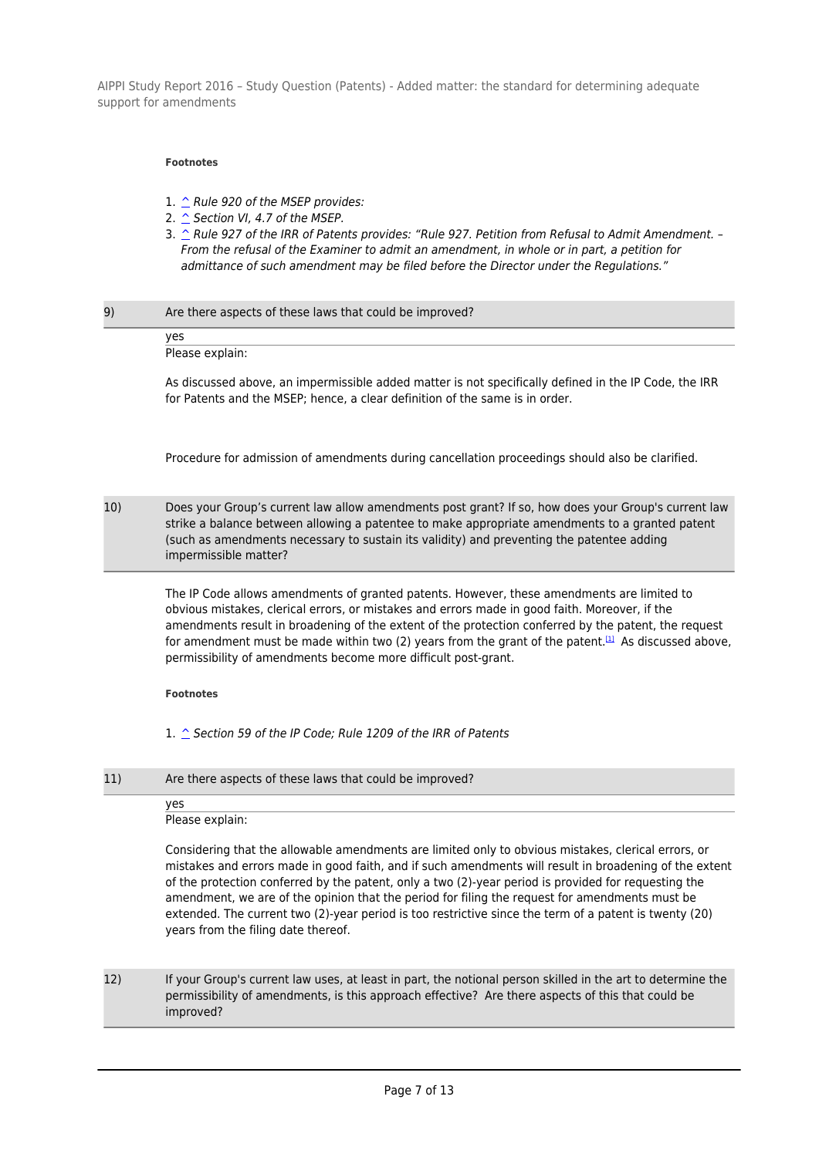#### **Footnotes**

- 1. ^ Rule 920 of the MSEP provides:
- 2.  $\hat{\triangle}$  Section VI, 4.7 of the MSEP.
- 3.  $\hat{C}$  Rule 927 of the IRR of Patents provides: "Rule 927. Petition from Refusal to Admit Amendment. -From the refusal of the Examiner to admit an amendment, in whole or in part, a petition for admittance of such amendment may be filed before the Director under the Regulations."

### 9) Are there aspects of these laws that could be improved?

yes Please explain:

As discussed above, an impermissible added matter is not specifically defined in the IP Code, the IRR for Patents and the MSEP; hence, a clear definition of the same is in order.

Procedure for admission of amendments during cancellation proceedings should also be clarified.

10) Does your Group's current law allow amendments post grant? If so, how does your Group's current law strike a balance between allowing a patentee to make appropriate amendments to a granted patent (such as amendments necessary to sustain its validity) and preventing the patentee adding impermissible matter?

The IP Code allows amendments of granted patents. However, these amendments are limited to obvious mistakes, clerical errors, or mistakes and errors made in good faith. Moreover, if the amendments result in broadening of the extent of the protection conferred by the patent, the request for amendment must be made within two (2) years from the grant of the patent.<sup>[1]</sup> As discussed above, permissibility of amendments become more difficult post-grant.

#### **Footnotes**

1. ^ Section 59 of the IP Code: Rule 1209 of the IRR of Patents

11) Are there aspects of these laws that could be improved?

#### yes

Please explain:

Considering that the allowable amendments are limited only to obvious mistakes, clerical errors, or mistakes and errors made in good faith, and if such amendments will result in broadening of the extent of the protection conferred by the patent, only a two (2)-year period is provided for requesting the amendment, we are of the opinion that the period for filing the request for amendments must be extended. The current two (2)-year period is too restrictive since the term of a patent is twenty (20) years from the filing date thereof.

12) If your Group's current law uses, at least in part, the notional person skilled in the art to determine the permissibility of amendments, is this approach effective? Are there aspects of this that could be improved?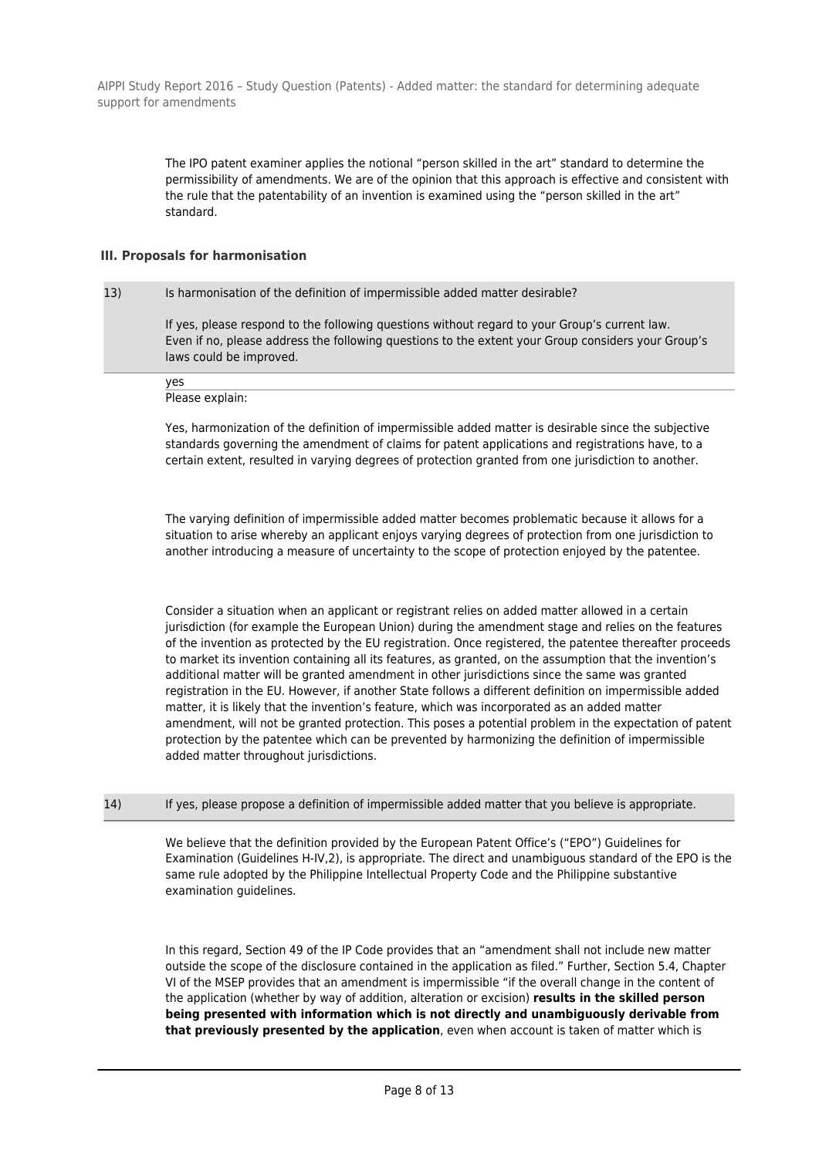> The IPO patent examiner applies the notional "person skilled in the art" standard to determine the permissibility of amendments. We are of the opinion that this approach is effective and consistent with the rule that the patentability of an invention is examined using the "person skilled in the art" standard.

# **III. Proposals for harmonisation**

# 13) Is harmonisation of the definition of impermissible added matter desirable?

If yes, please respond to the following questions without regard to your Group's current law. Even if no, please address the following questions to the extent your Group considers your Group's laws could be improved.

Please explain:

yes

Yes, harmonization of the definition of impermissible added matter is desirable since the subjective standards governing the amendment of claims for patent applications and registrations have, to a certain extent, resulted in varying degrees of protection granted from one jurisdiction to another.

The varying definition of impermissible added matter becomes problematic because it allows for a situation to arise whereby an applicant enjoys varying degrees of protection from one jurisdiction to another introducing a measure of uncertainty to the scope of protection enjoyed by the patentee.

Consider a situation when an applicant or registrant relies on added matter allowed in a certain jurisdiction (for example the European Union) during the amendment stage and relies on the features of the invention as protected by the EU registration. Once registered, the patentee thereafter proceeds to market its invention containing all its features, as granted, on the assumption that the invention's additional matter will be granted amendment in other jurisdictions since the same was granted registration in the EU. However, if another State follows a different definition on impermissible added matter, it is likely that the invention's feature, which was incorporated as an added matter amendment, will not be granted protection. This poses a potential problem in the expectation of patent protection by the patentee which can be prevented by harmonizing the definition of impermissible added matter throughout jurisdictions.

14) If yes, please propose a definition of impermissible added matter that you believe is appropriate.

We believe that the definition provided by the European Patent Office's ("EPO") Guidelines for Examination (Guidelines H-IV,2), is appropriate. The direct and unambiguous standard of the EPO is the same rule adopted by the Philippine Intellectual Property Code and the Philippine substantive examination guidelines.

In this regard, Section 49 of the IP Code provides that an "amendment shall not include new matter outside the scope of the disclosure contained in the application as filed." Further, Section 5.4, Chapter VI of the MSEP provides that an amendment is impermissible "if the overall change in the content of the application (whether by way of addition, alteration or excision) **results in the skilled person being presented with information which is not directly and unambiguously derivable from that previously presented by the application**, even when account is taken of matter which is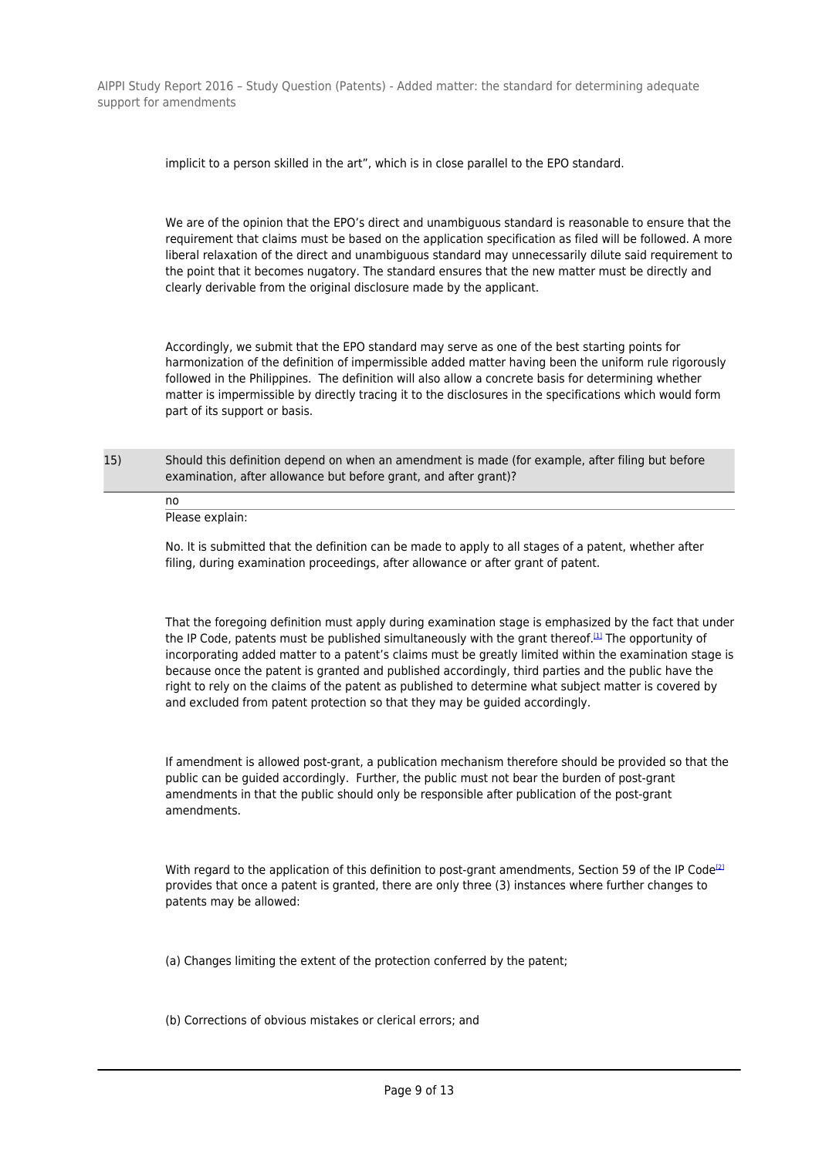implicit to a person skilled in the art", which is in close parallel to the EPO standard.

We are of the opinion that the EPO's direct and unambiguous standard is reasonable to ensure that the requirement that claims must be based on the application specification as filed will be followed. A more liberal relaxation of the direct and unambiguous standard may unnecessarily dilute said requirement to the point that it becomes nugatory. The standard ensures that the new matter must be directly and clearly derivable from the original disclosure made by the applicant.

Accordingly, we submit that the EPO standard may serve as one of the best starting points for harmonization of the definition of impermissible added matter having been the uniform rule rigorously followed in the Philippines. The definition will also allow a concrete basis for determining whether matter is impermissible by directly tracing it to the disclosures in the specifications which would form part of its support or basis.

15) Should this definition depend on when an amendment is made (for example, after filing but before examination, after allowance but before grant, and after grant)?

no Please explain:

No. It is submitted that the definition can be made to apply to all stages of a patent, whether after filing, during examination proceedings, after allowance or after grant of patent.

That the foregoing definition must apply during examination stage is emphasized by the fact that under the IP Code, patents must be published simultaneously with the grant thereof.<sup>[1]</sup> The opportunity of incorporating added matter to a patent's claims must be greatly limited within the examination stage is because once the patent is granted and published accordingly, third parties and the public have the right to rely on the claims of the patent as published to determine what subject matter is covered by and excluded from patent protection so that they may be guided accordingly.

If amendment is allowed post-grant, a publication mechanism therefore should be provided so that the public can be guided accordingly. Further, the public must not bear the burden of post-grant amendments in that the public should only be responsible after publication of the post-grant amendments.

With regard to the application of this definition to post-grant amendments. Section 59 of the IP Code<sup>[2]</sup> provides that once a patent is granted, there are only three (3) instances where further changes to patents may be allowed:

(a) Changes limiting the extent of the protection conferred by the patent;

(b) Corrections of obvious mistakes or clerical errors; and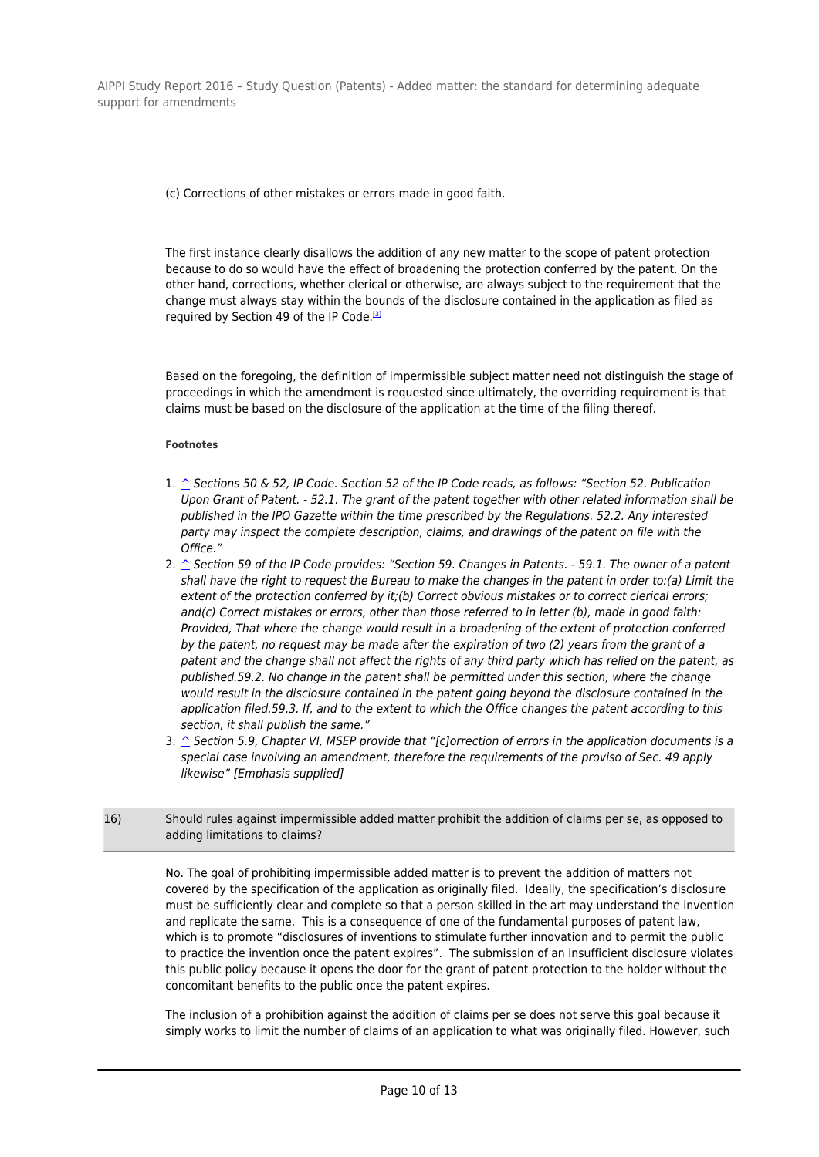(c) Corrections of other mistakes or errors made in good faith.

The first instance clearly disallows the addition of any new matter to the scope of patent protection because to do so would have the effect of broadening the protection conferred by the patent. On the other hand, corrections, whether clerical or otherwise, are always subject to the requirement that the change must always stay within the bounds of the disclosure contained in the application as filed as required by Section 49 of the IP Code.<sup>[3]</sup>

Based on the foregoing, the definition of impermissible subject matter need not distinguish the stage of proceedings in which the amendment is requested since ultimately, the overriding requirement is that claims must be based on the disclosure of the application at the time of the filing thereof.

### **Footnotes**

- 1.  $\hat{\triangle}$  Sections 50 & 52, IP Code. Section 52 of the IP Code reads, as follows: "Section 52. Publication Upon Grant of Patent. - 52.1. The grant of the patent together with other related information shall be published in the IPO Gazette within the time prescribed by the Regulations. 52.2. Any interested party may inspect the complete description, claims, and drawings of the patent on file with the Office."
- 2.  $\hat{\triangle}$  Section 59 of the IP Code provides: "Section 59. Changes in Patents. 59.1. The owner of a patent shall have the right to request the Bureau to make the changes in the patent in order to:(a) Limit the extent of the protection conferred by it;(b) Correct obvious mistakes or to correct clerical errors; and(c) Correct mistakes or errors, other than those referred to in letter (b), made in good faith: Provided, That where the change would result in a broadening of the extent of protection conferred by the patent, no request may be made after the expiration of two (2) years from the grant of a patent and the change shall not affect the rights of any third party which has relied on the patent, as published.59.2. No change in the patent shall be permitted under this section, where the change would result in the disclosure contained in the patent going beyond the disclosure contained in the application filed.59.3. If, and to the extent to which the Office changes the patent according to this section, it shall publish the same."
- 3.  $\hat{\ }$  Section 5.9, Chapter VI, MSEP provide that "[c]orrection of errors in the application documents is a special case involving an amendment, therefore the requirements of the proviso of Sec. 49 apply likewise" [Emphasis supplied]
- 16) Should rules against impermissible added matter prohibit the addition of claims per se, as opposed to adding limitations to claims?

No. The goal of prohibiting impermissible added matter is to prevent the addition of matters not covered by the specification of the application as originally filed. Ideally, the specification's disclosure must be sufficiently clear and complete so that a person skilled in the art may understand the invention and replicate the same. This is a consequence of one of the fundamental purposes of patent law, which is to promote "disclosures of inventions to stimulate further innovation and to permit the public to practice the invention once the patent expires". The submission of an insufficient disclosure violates this public policy because it opens the door for the grant of patent protection to the holder without the concomitant benefits to the public once the patent expires.

The inclusion of a prohibition against the addition of claims per se does not serve this goal because it simply works to limit the number of claims of an application to what was originally filed. However, such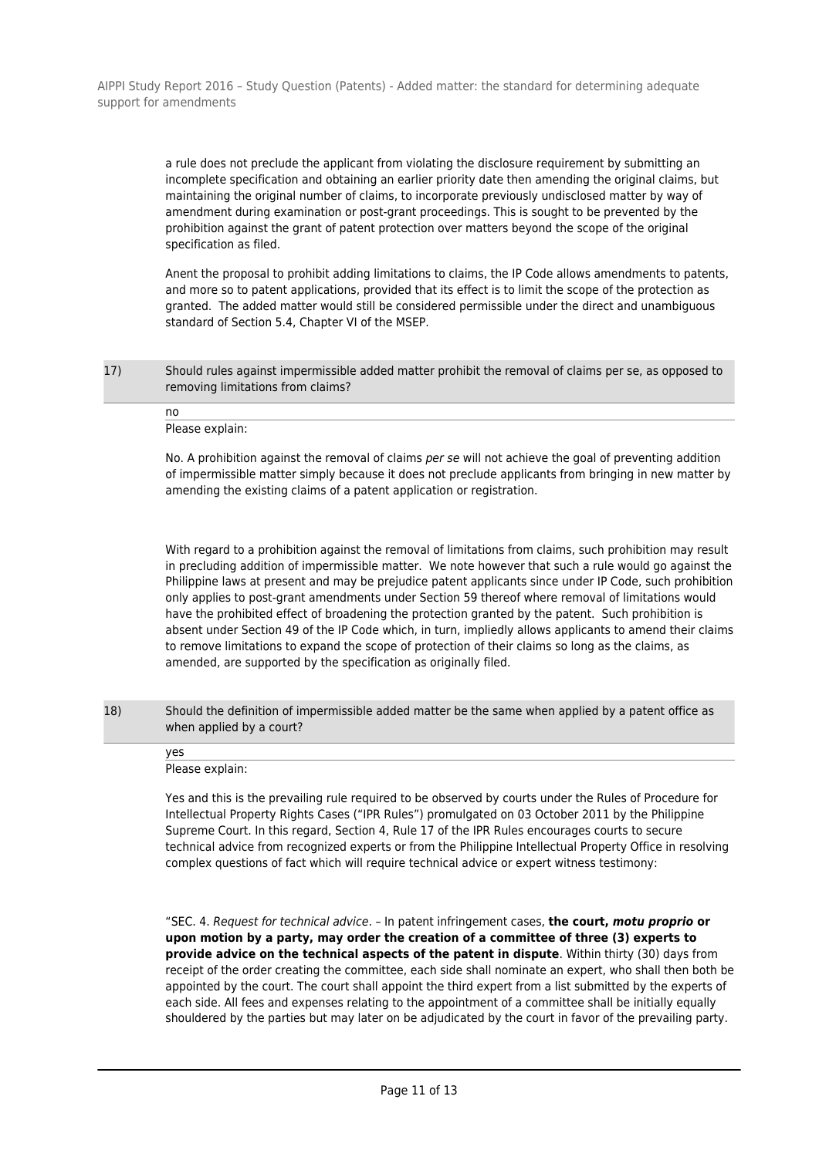> a rule does not preclude the applicant from violating the disclosure requirement by submitting an incomplete specification and obtaining an earlier priority date then amending the original claims, but maintaining the original number of claims, to incorporate previously undisclosed matter by way of amendment during examination or post-grant proceedings. This is sought to be prevented by the prohibition against the grant of patent protection over matters beyond the scope of the original specification as filed.

Anent the proposal to prohibit adding limitations to claims, the IP Code allows amendments to patents, and more so to patent applications, provided that its effect is to limit the scope of the protection as granted. The added matter would still be considered permissible under the direct and unambiguous standard of Section 5.4, Chapter VI of the MSEP.

17) Should rules against impermissible added matter prohibit the removal of claims per se, as opposed to removing limitations from claims?

no Please explain:

No. A prohibition against the removal of claims per se will not achieve the goal of preventing addition of impermissible matter simply because it does not preclude applicants from bringing in new matter by amending the existing claims of a patent application or registration.

With regard to a prohibition against the removal of limitations from claims, such prohibition may result in precluding addition of impermissible matter. We note however that such a rule would go against the Philippine laws at present and may be prejudice patent applicants since under IP Code, such prohibition only applies to post-grant amendments under Section 59 thereof where removal of limitations would have the prohibited effect of broadening the protection granted by the patent. Such prohibition is absent under Section 49 of the IP Code which, in turn, impliedly allows applicants to amend their claims to remove limitations to expand the scope of protection of their claims so long as the claims, as amended, are supported by the specification as originally filed.

18) Should the definition of impermissible added matter be the same when applied by a patent office as when applied by a court?

yes Please explain:

Yes and this is the prevailing rule required to be observed by courts under the Rules of Procedure for Intellectual Property Rights Cases ("IPR Rules") promulgated on 03 October 2011 by the Philippine Supreme Court. In this regard, Section 4, Rule 17 of the IPR Rules encourages courts to secure technical advice from recognized experts or from the Philippine Intellectual Property Office in resolving complex questions of fact which will require technical advice or expert witness testimony:

"SEC. 4. Request for technical advice. – In patent infringement cases, **the court,** *motu proprio* **or upon motion by a party, may order the creation of a committee of three (3) experts to provide advice on the technical aspects of the patent in dispute**. Within thirty (30) days from receipt of the order creating the committee, each side shall nominate an expert, who shall then both be appointed by the court. The court shall appoint the third expert from a list submitted by the experts of each side. All fees and expenses relating to the appointment of a committee shall be initially equally shouldered by the parties but may later on be adjudicated by the court in favor of the prevailing party.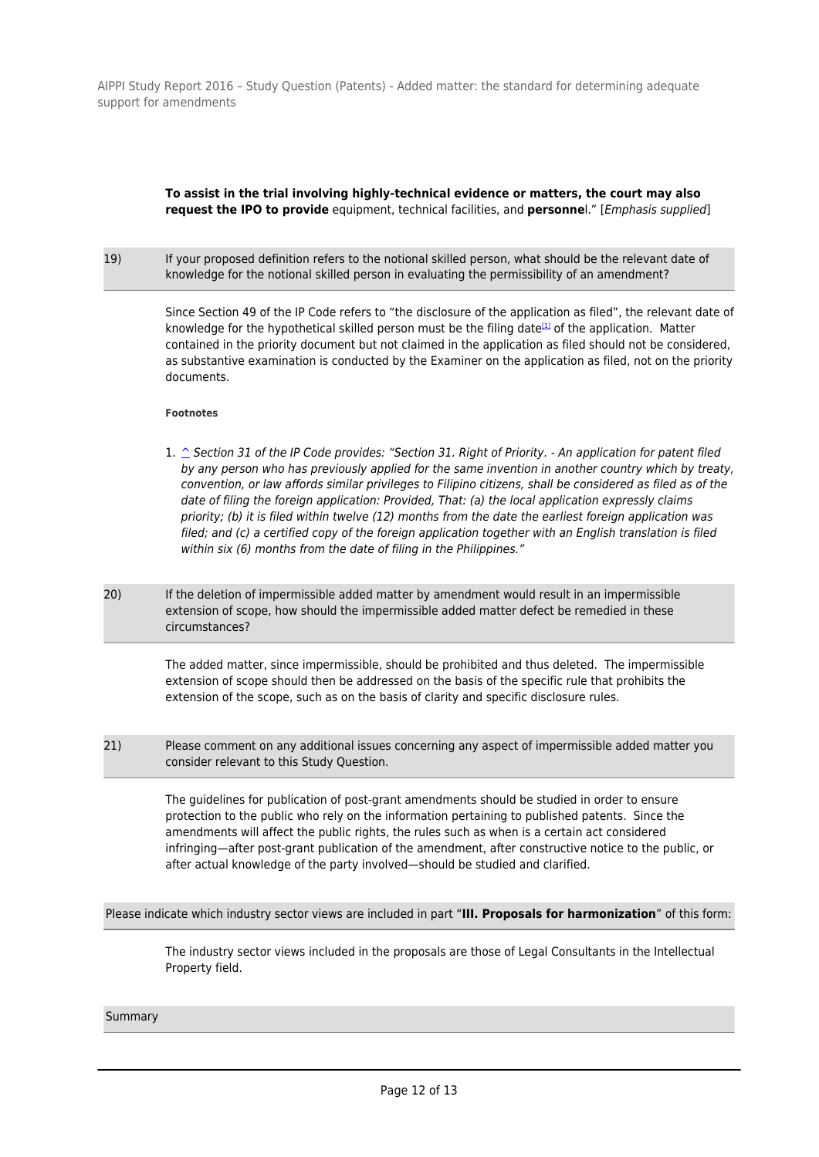# **To assist in the trial involving highly-technical evidence or matters, the court may also request the IPO to provide** equipment, technical facilities, and **personne**l." [Emphasis supplied]

19) If your proposed definition refers to the notional skilled person, what should be the relevant date of knowledge for the notional skilled person in evaluating the permissibility of an amendment?

> Since Section 49 of the IP Code refers to "the disclosure of the application as filed", the relevant date of knowledge for the hypothetical skilled person must be the filing date<sup>[1]</sup> of the application. Matter contained in the priority document but not claimed in the application as filed should not be considered, as substantive examination is conducted by the Examiner on the application as filed, not on the priority documents.

#### **Footnotes**

- 1. ^ Section 31 of the IP Code provides: "Section 31. Right of Priority. An application for patent filed by any person who has previously applied for the same invention in another country which by treaty, convention, or law affords similar privileges to Filipino citizens, shall be considered as filed as of the date of filing the foreign application: Provided, That: (a) the local application expressly claims priority; (b) it is filed within twelve (12) months from the date the earliest foreign application was filed; and (c) a certified copy of the foreign application together with an English translation is filed within six (6) months from the date of filing in the Philippines."
- 20) If the deletion of impermissible added matter by amendment would result in an impermissible extension of scope, how should the impermissible added matter defect be remedied in these circumstances?

The added matter, since impermissible, should be prohibited and thus deleted. The impermissible extension of scope should then be addressed on the basis of the specific rule that prohibits the extension of the scope, such as on the basis of clarity and specific disclosure rules.

21) Please comment on any additional issues concerning any aspect of impermissible added matter you consider relevant to this Study Question.

The guidelines for publication of post-grant amendments should be studied in order to ensure protection to the public who rely on the information pertaining to published patents. Since the amendments will affect the public rights, the rules such as when is a certain act considered infringing—after post-grant publication of the amendment, after constructive notice to the public, or after actual knowledge of the party involved—should be studied and clarified.

Please indicate which industry sector views are included in part "**III. Proposals for harmonization**" of this form:

The industry sector views included in the proposals are those of Legal Consultants in the Intellectual Property field.

Summary